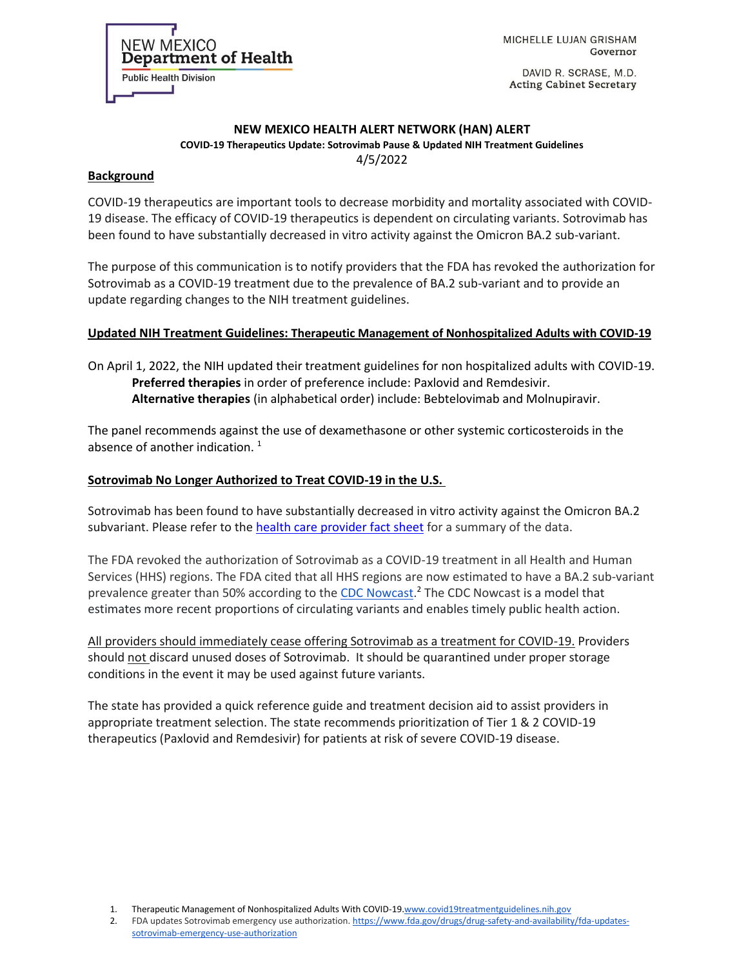MICHELLE LUJAN GRISHAM Governor

DAVID R. SCRASE, M.D. **Acting Cabinet Secretary** 

#### **NEW MEXICO HEALTH ALERT NETWORK (HAN) ALERT COVID-19 Therapeutics Update: Sotrovimab Pause & Updated NIH Treatment Guidelines**

4/5/2022

#### **Background**

**NEW MEXICO** 

**Public Health Division** 

Department of Health

COVID-19 therapeutics are important tools to decrease morbidity and mortality associated with COVID-19 disease. The efficacy of COVID-19 therapeutics is dependent on circulating variants. Sotrovimab has been found to have substantially decreased in vitro activity against the Omicron BA.2 sub-variant.

The purpose of this communication is to notify providers that the FDA has revoked the authorization for Sotrovimab as a COVID-19 treatment due to the prevalence of BA.2 sub-variant and to provide an update regarding changes to the NIH treatment guidelines.

## **Updated NIH Treatment Guidelines: Therapeutic Management of Nonhospitalized Adults with COVID-19**

On April 1, 2022, the NIH updated their treatment guidelines for non hospitalized adults with COVID-19. **Preferred therapies** in order of preference include: Paxlovid and Remdesivir. **Alternative therapies** (in alphabetical order) include: Bebtelovimab and Molnupiravir.

The panel recommends against the use of dexamethasone or other systemic corticosteroids in the absence of another indication.  $1$ 

## **Sotrovimab No Longer Authorized to Treat COVID-19 in the U.S.**

Sotrovimab has been found to have substantially decreased in vitro activity against the Omicron BA.2 subvariant. Please refer to the [health care provider fact sheet](https://www.fda.gov/media/149534/download) for a summary of the data.

The FDA revoked the authorization of Sotrovimab as a COVID-19 treatment in all Health and Human Services (HHS) regions. The FDA cited that all HHS regions are now estimated to have a BA.2 sub-variant prevalence greater than 50% according to the [CDC Nowcast.](https://covid.cdc.gov/covid-data-tracker/#variant-proportions)<sup>2</sup> The CDC Nowcast is a model that estimates more recent proportions of circulating variants and enables timely public health action.

All providers should immediately cease offering Sotrovimab as a treatment for COVID-19. Providers should not discard unused doses of Sotrovimab. It should be quarantined under proper storage conditions in the event it may be used against future variants.

The state has provided a quick reference guide and treatment decision aid to assist providers in appropriate treatment selection. The state recommends prioritization of Tier 1 & 2 COVID-19 therapeutics (Paxlovid and Remdesivir) for patients at risk of severe COVID-19 disease.

1. Therapeutic Management of Nonhospitalized Adults With COVID-1[9.www.covid19treatmentguidelines.nih.gov](http://www.covid19treatmentguidelines.nih.gov/)

2. FDA updates Sotrovimab emergency use authorization. [https://www.fda.gov/drugs/drug-safety-and-availability/fda-updates](https://gcc02.safelinks.protection.outlook.com/?url=https%3A%2F%2Fwww.fda.gov%2Fdrugs%2Fdrug-safety-and-availability%2Ffda-updates-sotrovimab-emergency-use-authorization&data=04%7C01%7CCourtney.Lovato%40state.nm.us%7C2368c3af7e4b47a310fc08da172ed5bc%7C04aa6bf4d436426fbfa404b7a70e60ff%7C0%7C0%7C637847787675568634%7CUnknown%7CTWFpbGZsb3d8eyJWIjoiMC4wLjAwMDAiLCJQIjoiV2luMzIiLCJBTiI6Ik1haWwiLCJXVCI6Mn0%3D%7C3000&sdata=MBMvBUFUKl3RVpSYNa4lyYLljPo7fAQEwzgkEGAxn1k%3D&reserved=0)[sotrovimab-emergency-use-authorization](https://gcc02.safelinks.protection.outlook.com/?url=https%3A%2F%2Fwww.fda.gov%2Fdrugs%2Fdrug-safety-and-availability%2Ffda-updates-sotrovimab-emergency-use-authorization&data=04%7C01%7CCourtney.Lovato%40state.nm.us%7C2368c3af7e4b47a310fc08da172ed5bc%7C04aa6bf4d436426fbfa404b7a70e60ff%7C0%7C0%7C637847787675568634%7CUnknown%7CTWFpbGZsb3d8eyJWIjoiMC4wLjAwMDAiLCJQIjoiV2luMzIiLCJBTiI6Ik1haWwiLCJXVCI6Mn0%3D%7C3000&sdata=MBMvBUFUKl3RVpSYNa4lyYLljPo7fAQEwzgkEGAxn1k%3D&reserved=0)